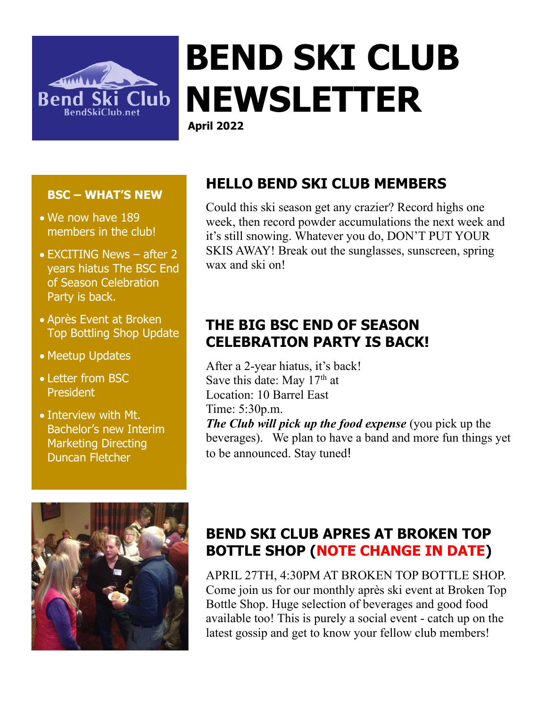

# **BEND SKI CLUB NEWSLETTER**

**April 2022**

#### **BSC – WHAT'S NEW**

- We now have 189 members in the club!
- EXCITING News after 2 years hiatus The BSC End of Season Celebration Party is back.
- Après Event at Broken Top Bottling Shop Update
- Meetup Updates
- Letter from BSC President
- Interview with Mt. Bachelor's new Interim Marketing Directing Duncan Fletcher



# **HELLO BEND SKI CLUB MEMBERS**

Could this ski season get any crazier? Record highs one week, then record powder accumulations the next week and it's still snowing. Whatever you do, DON'T PUT YOUR SKIS AWAY! Break out the sunglasses, sunscreen, spring wax and ski on!

# **THE BIG BSC END OF SEASON CELEBRATION PARTY IS BACK!**

After a 2-year hiatus, it's back! Save this date: May  $17<sup>th</sup>$  at Location: 10 Barrel East Time: 5:30p.m. *The Club will pick up the food expense* (you pick up the beverages). We plan to have a band and more fun things yet to be announced. Stay tuned!

# **BEND SKI CLUB APRES AT BROKEN TOP BOTTLE SHOP (NOTE CHANGE IN DATE)**

APRIL 27TH, 4:30PM AT BROKEN TOP BOTTLE SHOP. Come join us for our monthly après ski event at Broken Top Bottle Shop. Huge selection of beverages and good food available too! This is purely a social event - catch up on the latest gossip and get to know your fellow club members!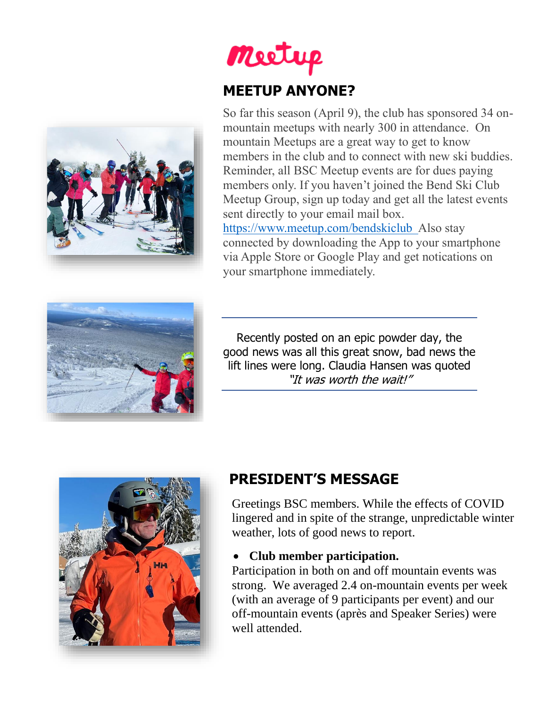

# Meetup **MEETUP ANYONE?**

So far this season (April 9), the club has sponsored 34 onmountain meetups with nearly 300 in attendance. On mountain Meetups are a great way to get to know members in the club and to connect with new ski buddies. Reminder, all BSC Meetup events are for dues paying members only. If you haven't joined the Bend Ski Club Meetup Group, sign up today and get all the latest events sent directly to your email mail box. [https://www.meetup.com/bendskiclub](about:blank) Also stay

connected by downloading the App to your smartphone via Apple Store or Google Play and get notications on your smartphone immediately.



Recently posted on an epic powder day, the good news was all this great snow, bad news the lift lines were long. Claudia Hansen was quoted "It was worth the wait!"



# **PRESIDENT'S MESSAGE**

Greetings BSC members. While the effects of COVID lingered and in spite of the strange, unpredictable winter weather, lots of good news to report.

#### • **Club member participation.**

Participation in both on and off mountain events was strong. We averaged 2.4 on-mountain events per week (with an average of 9 participants per event) and our off-mountain events (après and Speaker Series) were well attended.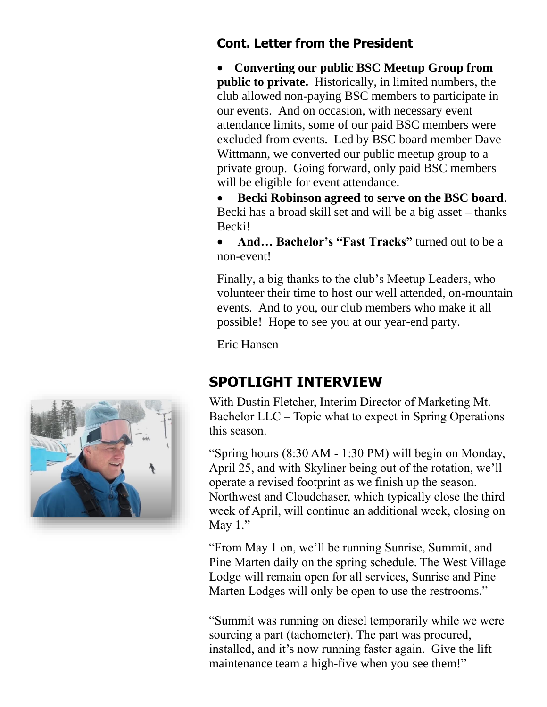#### **Cont. Letter from the President**

• **Converting our public BSC Meetup Group from public to private.** Historically, in limited numbers, the club allowed non-paying BSC members to participate in our events. And on occasion, with necessary event attendance limits, some of our paid BSC members were excluded from events. Led by BSC board member Dave Wittmann, we converted our public meetup group to a private group. Going forward, only paid BSC members will be eligible for event attendance.

• **Becki Robinson agreed to serve on the BSC board**. Becki has a broad skill set and will be a big asset – thanks Becki!

• **And... Bachelor's "Fast Tracks"** turned out to be a non-event!

Finally, a big thanks to the club's Meetup Leaders, who volunteer their time to host our well attended, on-mountain events. And to you, our club members who make it all possible! Hope to see you at our year-end party.

Eric Hansen

### **SPOTLIGHT INTERVIEW**

With Dustin Fletcher, Interim Director of Marketing Mt. Bachelor LLC – Topic what to expect in Spring Operations this season.

"Spring hours (8:30 AM - 1:30 PM) will begin on Monday, April 25, and with Skyliner being out of the rotation, we'll operate a revised footprint as we finish up the season. Northwest and Cloudchaser, which typically close the third week of April, will continue an additional week, closing on May  $1$ ."

"From May 1 on, we'll be running Sunrise, Summit, and Pine Marten daily on the spring schedule. The West Village Lodge will remain open for all services, Sunrise and Pine Marten Lodges will only be open to use the restrooms."

"Summit was running on diesel temporarily while we were sourcing a part (tachometer). The part was procured, installed, and it's now running faster again. Give the lift maintenance team a high-five when you see them!"